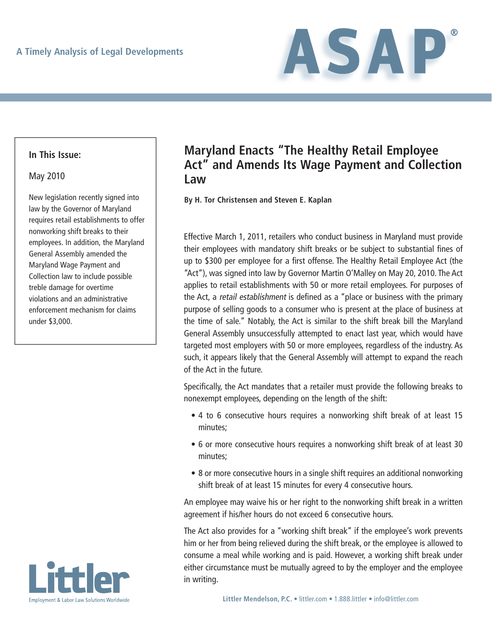

### **In This Issue:**

#### May 2010

New legislation recently signed into law by the Governor of Maryland requires retail establishments to offer nonworking shift breaks to their employees. In addition, the Maryland General Assembly amended the Maryland Wage Payment and Collection law to include possible treble damage for overtime violations and an administrative enforcement mechanism for claims under \$3,000.



# **Maryland Enacts "The Healthy Retail Employee Act" and Amends Its Wage Payment and Collection Law**

**By H. Tor Christensen and Steven E. Kaplan**

Effective March 1, 2011, retailers who conduct business in Maryland must provide their employees with mandatory shift breaks or be subject to substantial fines of up to \$300 per employee for a first offense. The Healthy Retail Employee Act (the "Act"), was signed into law by Governor Martin O'Malley on May 20, 2010. The Act applies to retail establishments with 50 or more retail employees. For purposes of the Act, a retail establishment is defined as a "place or business with the primary purpose of selling goods to a consumer who is present at the place of business at the time of sale." Notably, the Act is similar to the shift break bill the Maryland General Assembly unsuccessfully attempted to enact last year, which would have targeted most employers with 50 or more employees, regardless of the industry. As such, it appears likely that the General Assembly will attempt to expand the reach of the Act in the future.

Specifically, the Act mandates that a retailer must provide the following breaks to nonexempt employees, depending on the length of the shift:

- 4 to 6 consecutive hours requires a nonworking shift break of at least 15 minutes;
- 6 or more consecutive hours requires a nonworking shift break of at least 30 minutes;
- 8 or more consecutive hours in a single shift requires an additional nonworking shift break of at least 15 minutes for every 4 consecutive hours.

An employee may waive his or her right to the nonworking shift break in a written agreement if his/her hours do not exceed 6 consecutive hours.

The Act also provides for a "working shift break" if the employee's work prevents him or her from being relieved during the shift break, or the employee is allowed to consume a meal while working and is paid. However, a working shift break under either circumstance must be mutually agreed to by the employer and the employee in writing.